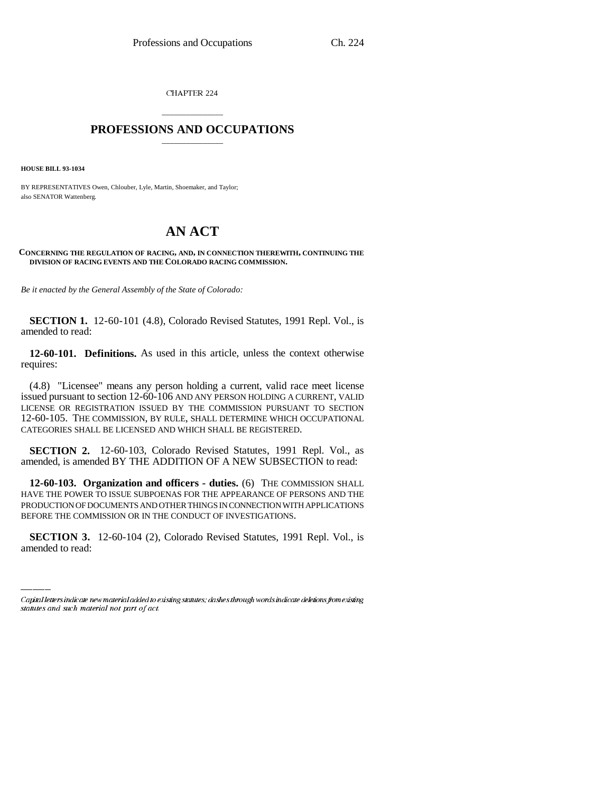CHAPTER 224

## \_\_\_\_\_\_\_\_\_\_\_\_\_\_\_ **PROFESSIONS AND OCCUPATIONS** \_\_\_\_\_\_\_\_\_\_\_\_\_\_\_

**HOUSE BILL 93-1034**

BY REPRESENTATIVES Owen, Chlouber, Lyle, Martin, Shoemaker, and Taylor; also SENATOR Wattenberg.

## **AN ACT**

**CONCERNING THE REGULATION OF RACING, AND, IN CONNECTION THEREWITH, CONTINUING THE DIVISION OF RACING EVENTS AND THE COLORADO RACING COMMISSION.**

*Be it enacted by the General Assembly of the State of Colorado:*

**SECTION 1.** 12-60-101 (4.8), Colorado Revised Statutes, 1991 Repl. Vol., is amended to read:

**12-60-101. Definitions.** As used in this article, unless the context otherwise requires:

(4.8) "Licensee" means any person holding a current, valid race meet license issued pursuant to section 12-60-106 AND ANY PERSON HOLDING A CURRENT, VALID LICENSE OR REGISTRATION ISSUED BY THE COMMISSION PURSUANT TO SECTION 12-60-105. THE COMMISSION, BY RULE, SHALL DETERMINE WHICH OCCUPATIONAL CATEGORIES SHALL BE LICENSED AND WHICH SHALL BE REGISTERED.

**SECTION 2.** 12-60-103, Colorado Revised Statutes, 1991 Repl. Vol., as amended, is amended BY THE ADDITION OF A NEW SUBSECTION to read:

BEFORE THE COMMISSION OR IN THE CONDUCT OF INVESTIGATIONS. **12-60-103. Organization and officers - duties.** (6) THE COMMISSION SHALL HAVE THE POWER TO ISSUE SUBPOENAS FOR THE APPEARANCE OF PERSONS AND THE PRODUCTION OF DOCUMENTS AND OTHER THINGS IN CONNECTION WITH APPLICATIONS

**SECTION 3.** 12-60-104 (2), Colorado Revised Statutes, 1991 Repl. Vol., is amended to read:

Capital letters indicate new material added to existing statutes; dashes through words indicate deletions from existing statutes and such material not part of act.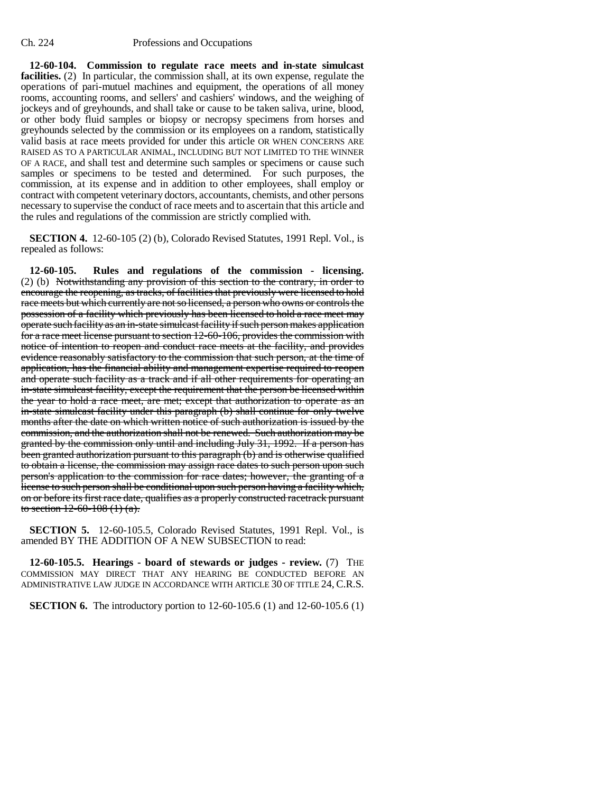## Ch. 224 Professions and Occupations

**12-60-104. Commission to regulate race meets and in-state simulcast facilities.** (2) In particular, the commission shall, at its own expense, regulate the operations of pari-mutuel machines and equipment, the operations of all money rooms, accounting rooms, and sellers' and cashiers' windows, and the weighing of jockeys and of greyhounds, and shall take or cause to be taken saliva, urine, blood, or other body fluid samples or biopsy or necropsy specimens from horses and greyhounds selected by the commission or its employees on a random, statistically valid basis at race meets provided for under this article OR WHEN CONCERNS ARE RAISED AS TO A PARTICULAR ANIMAL, INCLUDING BUT NOT LIMITED TO THE WINNER OF A RACE, and shall test and determine such samples or specimens or cause such samples or specimens to be tested and determined. For such purposes, the commission, at its expense and in addition to other employees, shall employ or contract with competent veterinary doctors, accountants, chemists, and other persons necessary to supervise the conduct of race meets and to ascertain that this article and the rules and regulations of the commission are strictly complied with.

**SECTION 4.** 12-60-105 (2) (b), Colorado Revised Statutes, 1991 Repl. Vol., is repealed as follows:

**12-60-105. Rules and regulations of the commission - licensing.** (2) (b) Notwithstanding any provision of this section to the contrary, in order to encourage the reopening, as tracks, of facilities that previously were licensed to hold race meets but which currently are not so licensed, a person who owns or controls the possession of a facility which previously has been licensed to hold a race meet may operate such facility as an in-state simulcast facility if such person makes application for a race meet license pursuant to section 12-60-106, provides the commission with notice of intention to reopen and conduct race meets at the facility, and provides evidence reasonably satisfactory to the commission that such person, at the time of application, has the financial ability and management expertise required to reopen and operate such facility as a track and if all other requirements for operating an in-state simulcast facility, except the requirement that the person be licensed within the year to hold a race meet, are met; except that authorization to operate as an in-state simulcast facility under this paragraph (b) shall continue for only twelve months after the date on which written notice of such authorization is issued by the commission, and the authorization shall not be renewed. Such authorization may be granted by the commission only until and including July 31, 1992. If a person has been granted authorization pursuant to this paragraph (b) and is otherwise qualified to obtain a license, the commission may assign race dates to such person upon such person's application to the commission for race dates; however, the granting of a license to such person shall be conditional upon such person having a facility which, on or before its first race date, qualifies as a properly constructed racetrack pursuant to section  $12-60-108(1)(a)$ .

**SECTION 5.** 12-60-105.5, Colorado Revised Statutes, 1991 Repl. Vol., is amended BY THE ADDITION OF A NEW SUBSECTION to read:

**12-60-105.5. Hearings - board of stewards or judges - review.** (7) THE COMMISSION MAY DIRECT THAT ANY HEARING BE CONDUCTED BEFORE AN ADMINISTRATIVE LAW JUDGE IN ACCORDANCE WITH ARTICLE 30 OF TITLE 24, C.R.S.

**SECTION 6.** The introductory portion to 12-60-105.6 (1) and 12-60-105.6 (1)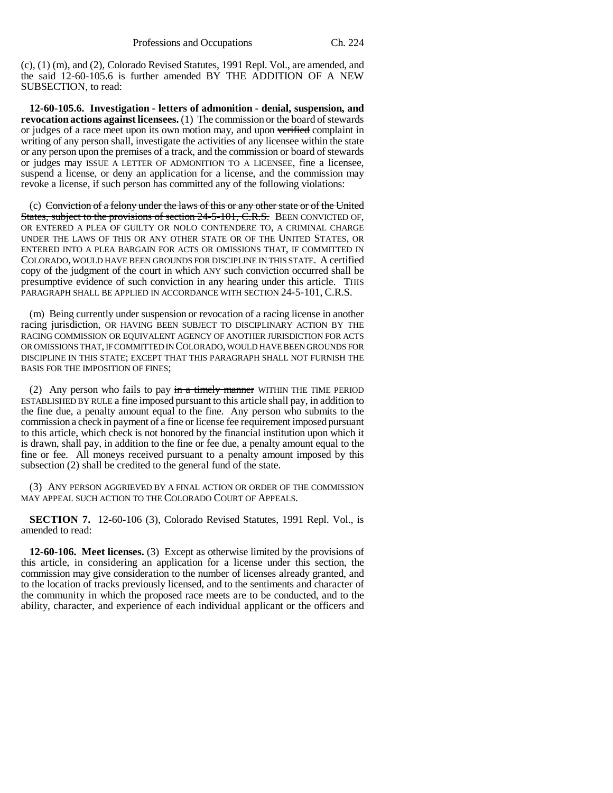(c), (1) (m), and (2), Colorado Revised Statutes, 1991 Repl. Vol., are amended, and the said 12-60-105.6 is further amended BY THE ADDITION OF A NEW SUBSECTION, to read:

**12-60-105.6. Investigation - letters of admonition - denial, suspension, and revocation actions against licensees.** (1) The commission or the board of stewards or judges of a race meet upon its own motion may, and upon verified complaint in writing of any person shall, investigate the activities of any licensee within the state or any person upon the premises of a track, and the commission or board of stewards or judges may ISSUE A LETTER OF ADMONITION TO A LICENSEE, fine a licensee, suspend a license, or deny an application for a license, and the commission may revoke a license, if such person has committed any of the following violations:

(c) Conviction of a felony under the laws of this or any other state or of the United States, subject to the provisions of section 24-5-101, C.R.S. BEEN CONVICTED OF, OR ENTERED A PLEA OF GUILTY OR NOLO CONTENDERE TO, A CRIMINAL CHARGE UNDER THE LAWS OF THIS OR ANY OTHER STATE OR OF THE UNITED STATES, OR ENTERED INTO A PLEA BARGAIN FOR ACTS OR OMISSIONS THAT, IF COMMITTED IN COLORADO, WOULD HAVE BEEN GROUNDS FOR DISCIPLINE IN THIS STATE. A certified copy of the judgment of the court in which ANY such conviction occurred shall be presumptive evidence of such conviction in any hearing under this article. THIS PARAGRAPH SHALL BE APPLIED IN ACCORDANCE WITH SECTION 24-5-101, C.R.S.

(m) Being currently under suspension or revocation of a racing license in another racing jurisdiction, OR HAVING BEEN SUBJECT TO DISCIPLINARY ACTION BY THE RACING COMMISSION OR EQUIVALENT AGENCY OF ANOTHER JURISDICTION FOR ACTS OR OMISSIONS THAT, IF COMMITTED IN COLORADO, WOULD HAVE BEEN GROUNDS FOR DISCIPLINE IN THIS STATE; EXCEPT THAT THIS PARAGRAPH SHALL NOT FURNISH THE BASIS FOR THE IMPOSITION OF FINES;

(2) Any person who fails to pay  $\frac{1}{2}$  in a timely manner WITHIN THE TIME PERIOD ESTABLISHED BY RULE a fine imposed pursuant to this article shall pay, in addition to the fine due, a penalty amount equal to the fine. Any person who submits to the commission a check in payment of a fine or license fee requirement imposed pursuant to this article, which check is not honored by the financial institution upon which it is drawn, shall pay, in addition to the fine or fee due, a penalty amount equal to the fine or fee. All moneys received pursuant to a penalty amount imposed by this subsection (2) shall be credited to the general fund of the state.

(3) ANY PERSON AGGRIEVED BY A FINAL ACTION OR ORDER OF THE COMMISSION MAY APPEAL SUCH ACTION TO THE COLORADO COURT OF APPEALS.

**SECTION 7.** 12-60-106 (3), Colorado Revised Statutes, 1991 Repl. Vol., is amended to read:

**12-60-106. Meet licenses.** (3) Except as otherwise limited by the provisions of this article, in considering an application for a license under this section, the commission may give consideration to the number of licenses already granted, and to the location of tracks previously licensed, and to the sentiments and character of the community in which the proposed race meets are to be conducted, and to the ability, character, and experience of each individual applicant or the officers and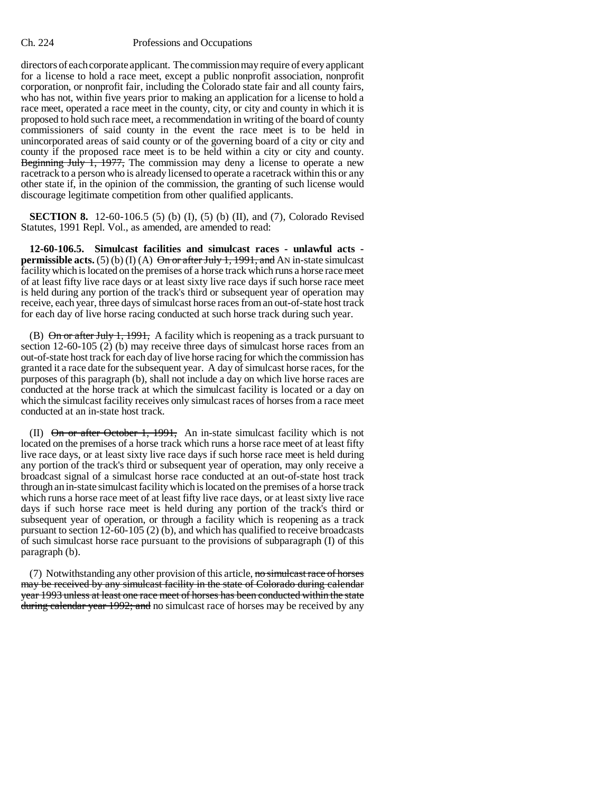## Ch. 224 Professions and Occupations

directors of each corporate applicant. The commission may require of every applicant for a license to hold a race meet, except a public nonprofit association, nonprofit corporation, or nonprofit fair, including the Colorado state fair and all county fairs, who has not, within five years prior to making an application for a license to hold a race meet, operated a race meet in the county, city, or city and county in which it is proposed to hold such race meet, a recommendation in writing of the board of county commissioners of said county in the event the race meet is to be held in unincorporated areas of said county or of the governing board of a city or city and county if the proposed race meet is to be held within a city or city and county. Beginning July 1, 1977, The commission may deny a license to operate a new racetrack to a person who is already licensed to operate a racetrack within this or any other state if, in the opinion of the commission, the granting of such license would discourage legitimate competition from other qualified applicants.

**SECTION 8.** 12-60-106.5 (5) (b) (I), (5) (b) (II), and (7), Colorado Revised Statutes, 1991 Repl. Vol., as amended, are amended to read:

**12-60-106.5. Simulcast facilities and simulcast races - unlawful acts permissible acts.** (5) (b) (I) (A)  $\Theta$ <del>n or after July 1, 1991, and</del> AN in-state simulcast facility which is located on the premises of a horse track which runs a horse race meet of at least fifty live race days or at least sixty live race days if such horse race meet is held during any portion of the track's third or subsequent year of operation may receive, each year, three days of simulcast horse races from an out-of-state host track for each day of live horse racing conducted at such horse track during such year.

(B)  $\Theta$ n or after July 1, 1991, A facility which is reopening as a track pursuant to section 12-60-105 (2) (b) may receive three days of simulcast horse races from an out-of-state host track for each day of live horse racing for which the commission has granted it a race date for the subsequent year. A day of simulcast horse races, for the purposes of this paragraph (b), shall not include a day on which live horse races are conducted at the horse track at which the simulcast facility is located or a day on which the simulcast facility receives only simulcast races of horses from a race meet conducted at an in-state host track.

(II)  $\Theta$ n or after October 1, 1991, An in-state simulcast facility which is not located on the premises of a horse track which runs a horse race meet of at least fifty live race days, or at least sixty live race days if such horse race meet is held during any portion of the track's third or subsequent year of operation, may only receive a broadcast signal of a simulcast horse race conducted at an out-of-state host track through an in-state simulcast facility which is located on the premises of a horse track which runs a horse race meet of at least fifty live race days, or at least sixty live race days if such horse race meet is held during any portion of the track's third or subsequent year of operation, or through a facility which is reopening as a track pursuant to section 12-60-105 (2) (b), and which has qualified to receive broadcasts of such simulcast horse race pursuant to the provisions of subparagraph (I) of this paragraph (b).

(7) Notwithstanding any other provision of this article, no simulcast race of horses may be received by any simulcast facility in the state of Colorado during calendar year 1993 unless at least one race meet of horses has been conducted within the state during calendar year 1992; and no simulcast race of horses may be received by any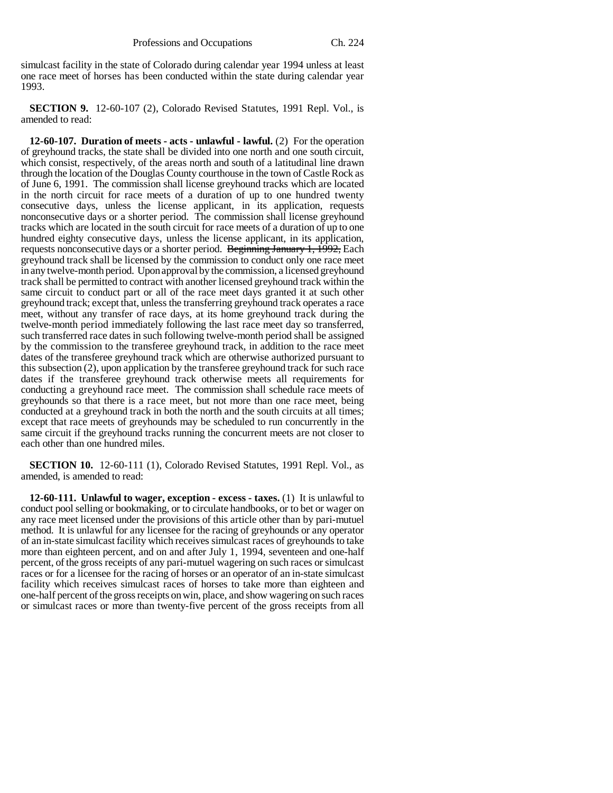simulcast facility in the state of Colorado during calendar year 1994 unless at least one race meet of horses has been conducted within the state during calendar year 1993.

**SECTION 9.** 12-60-107 (2), Colorado Revised Statutes, 1991 Repl. Vol., is amended to read:

**12-60-107. Duration of meets - acts - unlawful - lawful.** (2) For the operation of greyhound tracks, the state shall be divided into one north and one south circuit, which consist, respectively, of the areas north and south of a latitudinal line drawn through the location of the Douglas County courthouse in the town of Castle Rock as of June 6, 1991. The commission shall license greyhound tracks which are located in the north circuit for race meets of a duration of up to one hundred twenty consecutive days, unless the license applicant, in its application, requests nonconsecutive days or a shorter period. The commission shall license greyhound tracks which are located in the south circuit for race meets of a duration of up to one hundred eighty consecutive days, unless the license applicant, in its application, requests nonconsecutive days or a shorter period. Beginning January 1, 1992, Each greyhound track shall be licensed by the commission to conduct only one race meet in any twelve-month period. Upon approval by the commission, a licensed greyhound track shall be permitted to contract with another licensed greyhound track within the same circuit to conduct part or all of the race meet days granted it at such other greyhound track; except that, unless the transferring greyhound track operates a race meet, without any transfer of race days, at its home greyhound track during the twelve-month period immediately following the last race meet day so transferred, such transferred race dates in such following twelve-month period shall be assigned by the commission to the transferee greyhound track, in addition to the race meet dates of the transferee greyhound track which are otherwise authorized pursuant to this subsection (2), upon application by the transferee greyhound track for such race dates if the transferee greyhound track otherwise meets all requirements for conducting a greyhound race meet. The commission shall schedule race meets of greyhounds so that there is a race meet, but not more than one race meet, being conducted at a greyhound track in both the north and the south circuits at all times; except that race meets of greyhounds may be scheduled to run concurrently in the same circuit if the greyhound tracks running the concurrent meets are not closer to each other than one hundred miles.

**SECTION 10.** 12-60-111 (1), Colorado Revised Statutes, 1991 Repl. Vol., as amended, is amended to read:

**12-60-111. Unlawful to wager, exception - excess - taxes.** (1) It is unlawful to conduct pool selling or bookmaking, or to circulate handbooks, or to bet or wager on any race meet licensed under the provisions of this article other than by pari-mutuel method. It is unlawful for any licensee for the racing of greyhounds or any operator of an in-state simulcast facility which receives simulcast races of greyhounds to take more than eighteen percent, and on and after July 1, 1994, seventeen and one-half percent, of the gross receipts of any pari-mutuel wagering on such races or simulcast races or for a licensee for the racing of horses or an operator of an in-state simulcast facility which receives simulcast races of horses to take more than eighteen and one-half percent of the gross receipts on win, place, and show wagering on such races or simulcast races or more than twenty-five percent of the gross receipts from all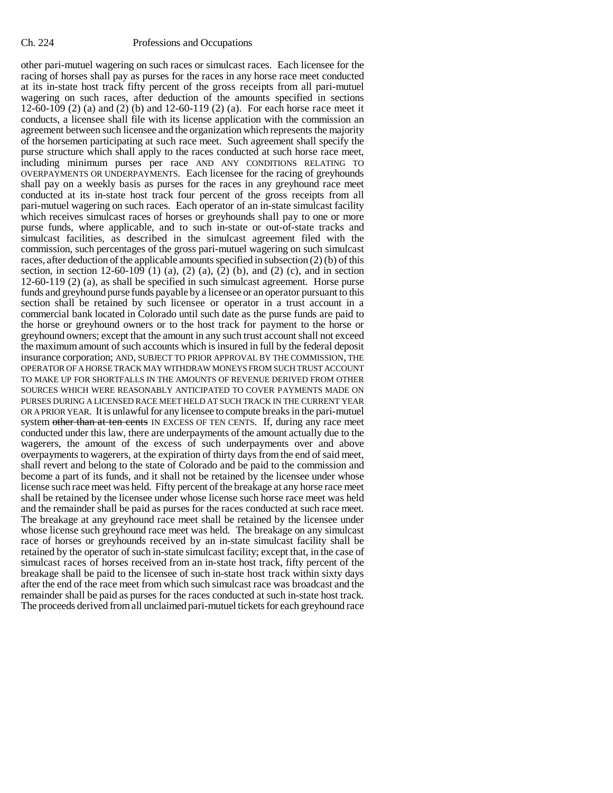other pari-mutuel wagering on such races or simulcast races. Each licensee for the racing of horses shall pay as purses for the races in any horse race meet conducted at its in-state host track fifty percent of the gross receipts from all pari-mutuel wagering on such races, after deduction of the amounts specified in sections 12-60-109 (2) (a) and (2) (b) and 12-60-119 (2) (a). For each horse race meet it conducts, a licensee shall file with its license application with the commission an agreement between such licensee and the organization which represents the majority of the horsemen participating at such race meet. Such agreement shall specify the purse structure which shall apply to the races conducted at such horse race meet, including minimum purses per race AND ANY CONDITIONS RELATING TO OVERPAYMENTS OR UNDERPAYMENTS. Each licensee for the racing of greyhounds shall pay on a weekly basis as purses for the races in any greyhound race meet conducted at its in-state host track four percent of the gross receipts from all pari-mutuel wagering on such races. Each operator of an in-state simulcast facility which receives simulcast races of horses or greyhounds shall pay to one or more purse funds, where applicable, and to such in-state or out-of-state tracks and simulcast facilities, as described in the simulcast agreement filed with the commission, such percentages of the gross pari-mutuel wagering on such simulcast races, after deduction of the applicable amounts specified in subsection (2) (b) of this section, in section  $12-60-109$  (1) (a), (2) (a), (2) (b), and (2) (c), and in section 12-60-119 (2) (a), as shall be specified in such simulcast agreement. Horse purse funds and greyhound purse funds payable by a licensee or an operator pursuant to this section shall be retained by such licensee or operator in a trust account in a commercial bank located in Colorado until such date as the purse funds are paid to the horse or greyhound owners or to the host track for payment to the horse or greyhound owners; except that the amount in any such trust account shall not exceed the maximum amount of such accounts which is insured in full by the federal deposit insurance corporation; AND, SUBJECT TO PRIOR APPROVAL BY THE COMMISSION, THE OPERATOR OF A HORSE TRACK MAY WITHDRAW MONEYS FROM SUCH TRUST ACCOUNT TO MAKE UP FOR SHORTFALLS IN THE AMOUNTS OF REVENUE DERIVED FROM OTHER SOURCES WHICH WERE REASONABLY ANTICIPATED TO COVER PAYMENTS MADE ON PURSES DURING A LICENSED RACE MEET HELD AT SUCH TRACK IN THE CURRENT YEAR OR A PRIOR YEAR. It is unlawful for any licensee to compute breaks in the pari-mutuel system other than at ten cents IN EXCESS OF TEN CENTS. If, during any race meet conducted under this law, there are underpayments of the amount actually due to the wagerers, the amount of the excess of such underpayments over and above overpayments to wagerers, at the expiration of thirty days from the end of said meet, shall revert and belong to the state of Colorado and be paid to the commission and become a part of its funds, and it shall not be retained by the licensee under whose license such race meet was held. Fifty percent of the breakage at any horse race meet shall be retained by the licensee under whose license such horse race meet was held and the remainder shall be paid as purses for the races conducted at such race meet. The breakage at any greyhound race meet shall be retained by the licensee under whose license such greyhound race meet was held. The breakage on any simulcast race of horses or greyhounds received by an in-state simulcast facility shall be retained by the operator of such in-state simulcast facility; except that, in the case of simulcast races of horses received from an in-state host track, fifty percent of the breakage shall be paid to the licensee of such in-state host track within sixty days after the end of the race meet from which such simulcast race was broadcast and the remainder shall be paid as purses for the races conducted at such in-state host track. The proceeds derived from all unclaimed pari-mutuel tickets for each greyhound race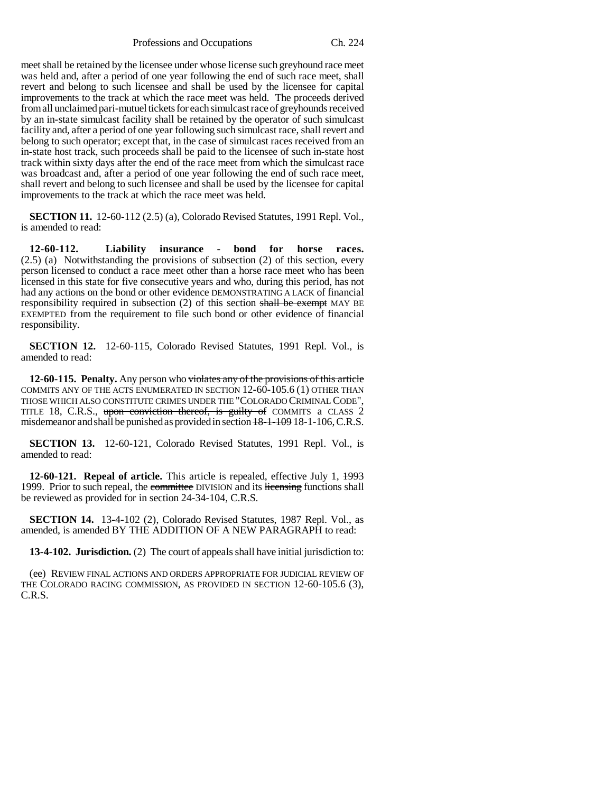Professions and Occupations Ch. 224

meet shall be retained by the licensee under whose license such greyhound race meet was held and, after a period of one year following the end of such race meet, shall revert and belong to such licensee and shall be used by the licensee for capital improvements to the track at which the race meet was held. The proceeds derived from all unclaimed pari-mutuel tickets for each simulcast race of greyhounds received by an in-state simulcast facility shall be retained by the operator of such simulcast facility and, after a period of one year following such simulcast race, shall revert and belong to such operator; except that, in the case of simulcast races received from an in-state host track, such proceeds shall be paid to the licensee of such in-state host track within sixty days after the end of the race meet from which the simulcast race was broadcast and, after a period of one year following the end of such race meet, shall revert and belong to such licensee and shall be used by the licensee for capital improvements to the track at which the race meet was held.

**SECTION 11.** 12-60-112 (2.5) (a), Colorado Revised Statutes, 1991 Repl. Vol., is amended to read:

**12-60-112. Liability insurance - bond for horse races.** (2.5) (a) Notwithstanding the provisions of subsection (2) of this section, every person licensed to conduct a race meet other than a horse race meet who has been licensed in this state for five consecutive years and who, during this period, has not had any actions on the bond or other evidence DEMONSTRATING A LACK of financial responsibility required in subsection  $(2)$  of this section shall be exempt MAY BE EXEMPTED from the requirement to file such bond or other evidence of financial responsibility.

**SECTION 12.** 12-60-115, Colorado Revised Statutes, 1991 Repl. Vol., is amended to read:

**12-60-115. Penalty.** Any person who violates any of the provisions of this article COMMITS ANY OF THE ACTS ENUMERATED IN SECTION 12-60-105.6 (1) OTHER THAN THOSE WHICH ALSO CONSTITUTE CRIMES UNDER THE "COLORADO CRIMINAL CODE", TITLE 18, C.R.S., upon conviction thereof, is guilty of COMMITS a CLASS 2 misdemeanor and shall be punished as provided in section 18-1-109 18-1-106, C.R.S.

**SECTION 13.** 12-60-121, Colorado Revised Statutes, 1991 Repl. Vol., is amended to read:

**12-60-121. Repeal of article.** This article is repealed, effective July 1, 1993 1999. Prior to such repeal, the committee DIVISION and its licensing functions shall be reviewed as provided for in section 24-34-104, C.R.S.

**SECTION 14.** 13-4-102 (2), Colorado Revised Statutes, 1987 Repl. Vol., as amended, is amended BY THE ADDITION OF A NEW PARAGRAPH to read:

**13-4-102. Jurisdiction.** (2) The court of appeals shall have initial jurisdiction to:

(ee) REVIEW FINAL ACTIONS AND ORDERS APPROPRIATE FOR JUDICIAL REVIEW OF THE COLORADO RACING COMMISSION, AS PROVIDED IN SECTION 12-60-105.6 (3), C.R.S.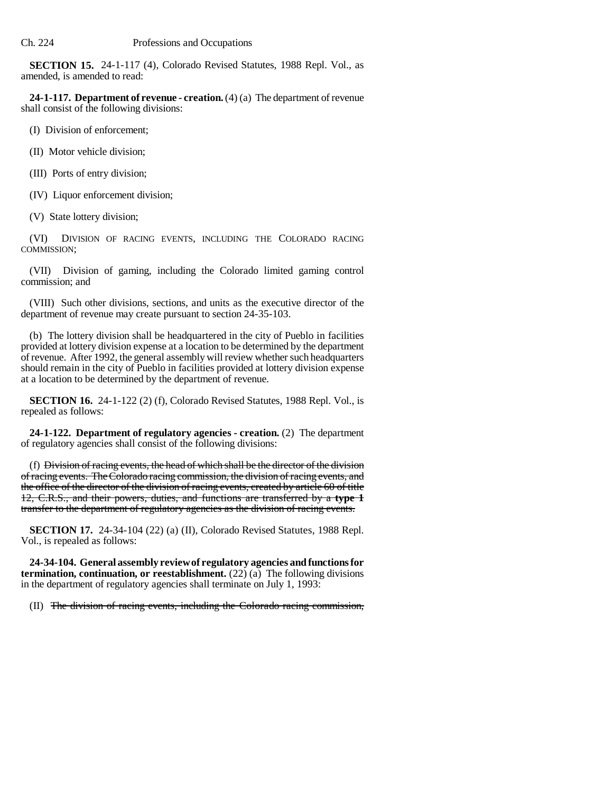**SECTION 15.** 24-1-117 (4), Colorado Revised Statutes, 1988 Repl. Vol., as amended, is amended to read:

**24-1-117. Department of revenue - creation.** (4) (a) The department of revenue shall consist of the following divisions:

(I) Division of enforcement;

(II) Motor vehicle division;

(III) Ports of entry division;

(IV) Liquor enforcement division;

(V) State lottery division;

(VI) DIVISION OF RACING EVENTS, INCLUDING THE COLORADO RACING COMMISSION;

(VII) Division of gaming, including the Colorado limited gaming control commission; and

(VIII) Such other divisions, sections, and units as the executive director of the department of revenue may create pursuant to section 24-35-103.

(b) The lottery division shall be headquartered in the city of Pueblo in facilities provided at lottery division expense at a location to be determined by the department of revenue. After 1992, the general assembly will review whether such headquarters should remain in the city of Pueblo in facilities provided at lottery division expense at a location to be determined by the department of revenue.

**SECTION 16.** 24-1-122 (2) (f), Colorado Revised Statutes, 1988 Repl. Vol., is repealed as follows:

**24-1-122. Department of regulatory agencies - creation.** (2) The department of regulatory agencies shall consist of the following divisions:

(f) Division of racing events, the head of which shall be the director of the division of racing events. The Colorado racing commission, the division of racing events, and the office of the director of the division of racing events, created by article 60 of title 12, C.R.S., and their powers, duties, and functions are transferred by a **type 1** transfer to the department of regulatory agencies as the division of racing events.

**SECTION 17.** 24-34-104 (22) (a) (II), Colorado Revised Statutes, 1988 Repl. Vol., is repealed as follows:

**24-34-104. General assembly review of regulatory agencies and functions for termination, continuation, or reestablishment.** (22) (a) The following divisions in the department of regulatory agencies shall terminate on July 1, 1993:

(II) The division of racing events, including the Colorado racing commission,